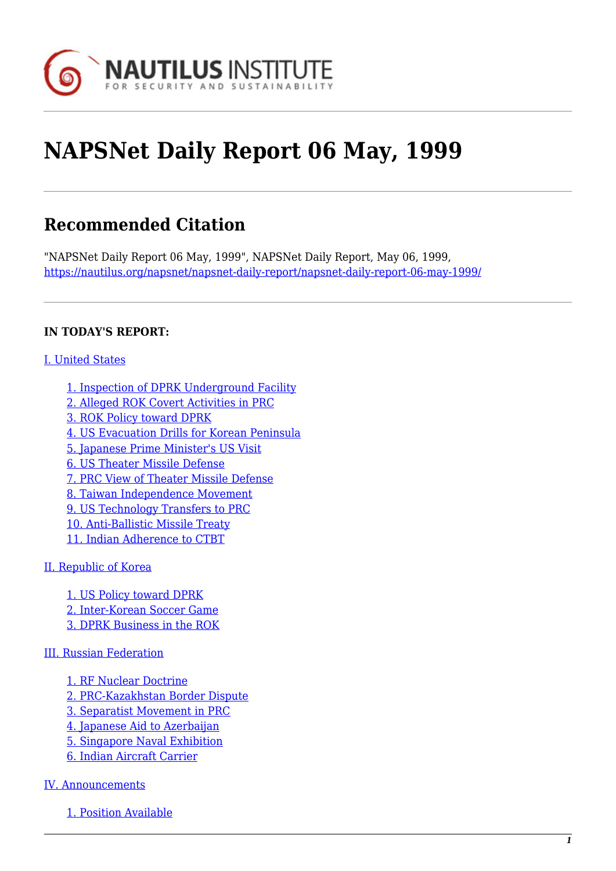

# **NAPSNet Daily Report 06 May, 1999**

# **Recommended Citation**

"NAPSNet Daily Report 06 May, 1999", NAPSNet Daily Report, May 06, 1999, <https://nautilus.org/napsnet/napsnet-daily-report/napsnet-daily-report-06-may-1999/>

# **IN TODAY'S REPORT:**

# [I. United States](#page--1-0)

- [1. Inspection of DPRK Underground Facility](#page-1-0)
- [2. Alleged ROK Covert Activities in PRC](#page-1-1)
- [3. ROK Policy toward DPRK](#page-1-2)
- [4. US Evacuation Drills for Korean Peninsula](#page-1-3)
- [5. Japanese Prime Minister's US Visit](#page-1-4)
- [6. US Theater Missile Defense](#page-2-0)
- [7. PRC View of Theater Missile Defense](#page-2-1)
- [8. Taiwan Independence Movement](#page-3-0)
- [9. US Technology Transfers to PRC](#page-3-1)
- [10. Anti-Ballistic Missile Treaty](#page-3-2)
- [11. Indian Adherence to CTBT](#page-4-0)

# [II. Republic of Korea](#page-4-1)

[1. US Policy toward DPRK](#page-4-2) [2. Inter-Korean Soccer Game](#page-5-0) [3. DPRK Business in the ROK](#page-5-1)

# [III. Russian Federation](#page-5-2)

- [1. RF Nuclear Doctrine](#page-5-3)
- [2. PRC-Kazakhstan Border Dispute](#page-6-0)
- [3. Separatist Movement in PRC](#page-6-1)
- [4. Japanese Aid to Azerbaijan](#page-7-0)
- [5. Singapore Naval Exhibition](#page-7-1)
- [6. Indian Aircraft Carrier](#page-7-2)

# [IV. Announcements](#page-7-3)

[1. Position Available](#page-7-4)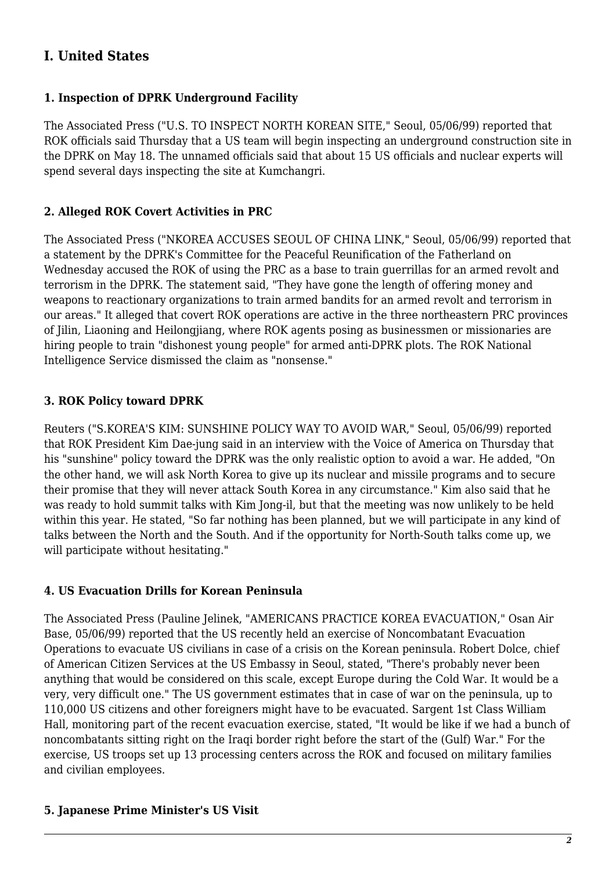# **I. United States**

# <span id="page-1-0"></span>**1. Inspection of DPRK Underground Facility**

The Associated Press ("U.S. TO INSPECT NORTH KOREAN SITE," Seoul, 05/06/99) reported that ROK officials said Thursday that a US team will begin inspecting an underground construction site in the DPRK on May 18. The unnamed officials said that about 15 US officials and nuclear experts will spend several days inspecting the site at Kumchangri.

# <span id="page-1-1"></span>**2. Alleged ROK Covert Activities in PRC**

The Associated Press ("NKOREA ACCUSES SEOUL OF CHINA LINK," Seoul, 05/06/99) reported that a statement by the DPRK's Committee for the Peaceful Reunification of the Fatherland on Wednesday accused the ROK of using the PRC as a base to train guerrillas for an armed revolt and terrorism in the DPRK. The statement said, "They have gone the length of offering money and weapons to reactionary organizations to train armed bandits for an armed revolt and terrorism in our areas." It alleged that covert ROK operations are active in the three northeastern PRC provinces of Jilin, Liaoning and Heilongjiang, where ROK agents posing as businessmen or missionaries are hiring people to train "dishonest young people" for armed anti-DPRK plots. The ROK National Intelligence Service dismissed the claim as "nonsense."

# <span id="page-1-2"></span>**3. ROK Policy toward DPRK**

Reuters ("S.KOREA'S KIM: SUNSHINE POLICY WAY TO AVOID WAR," Seoul, 05/06/99) reported that ROK President Kim Dae-jung said in an interview with the Voice of America on Thursday that his "sunshine" policy toward the DPRK was the only realistic option to avoid a war. He added, "On the other hand, we will ask North Korea to give up its nuclear and missile programs and to secure their promise that they will never attack South Korea in any circumstance." Kim also said that he was ready to hold summit talks with Kim Jong-il, but that the meeting was now unlikely to be held within this year. He stated, "So far nothing has been planned, but we will participate in any kind of talks between the North and the South. And if the opportunity for North-South talks come up, we will participate without hesitating."

# <span id="page-1-3"></span>**4. US Evacuation Drills for Korean Peninsula**

The Associated Press (Pauline Jelinek, "AMERICANS PRACTICE KOREA EVACUATION," Osan Air Base, 05/06/99) reported that the US recently held an exercise of Noncombatant Evacuation Operations to evacuate US civilians in case of a crisis on the Korean peninsula. Robert Dolce, chief of American Citizen Services at the US Embassy in Seoul, stated, "There's probably never been anything that would be considered on this scale, except Europe during the Cold War. It would be a very, very difficult one." The US government estimates that in case of war on the peninsula, up to 110,000 US citizens and other foreigners might have to be evacuated. Sargent 1st Class William Hall, monitoring part of the recent evacuation exercise, stated, "It would be like if we had a bunch of noncombatants sitting right on the Iraqi border right before the start of the (Gulf) War." For the exercise, US troops set up 13 processing centers across the ROK and focused on military families and civilian employees.

# <span id="page-1-4"></span>**5. Japanese Prime Minister's US Visit**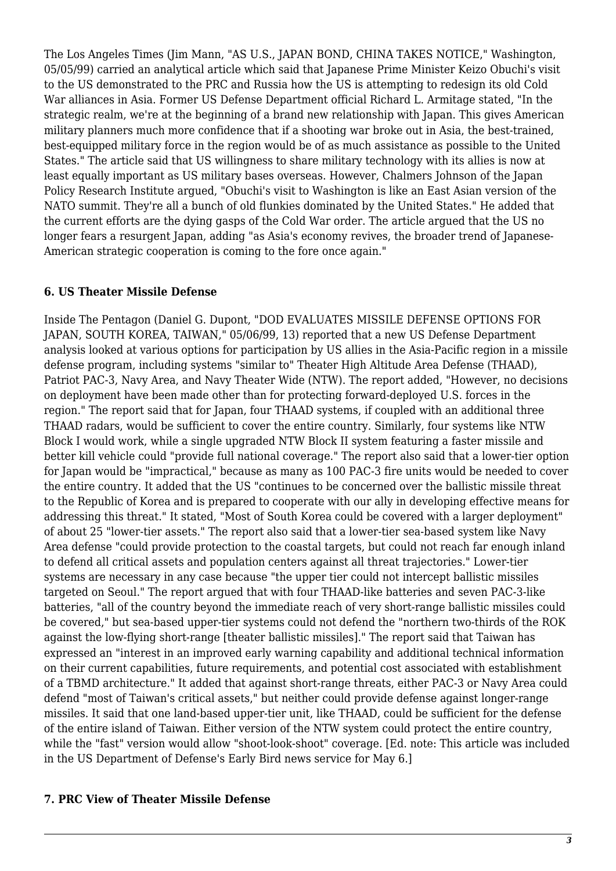The Los Angeles Times (Jim Mann, "AS U.S., JAPAN BOND, CHINA TAKES NOTICE," Washington, 05/05/99) carried an analytical article which said that Japanese Prime Minister Keizo Obuchi's visit to the US demonstrated to the PRC and Russia how the US is attempting to redesign its old Cold War alliances in Asia. Former US Defense Department official Richard L. Armitage stated, "In the strategic realm, we're at the beginning of a brand new relationship with Japan. This gives American military planners much more confidence that if a shooting war broke out in Asia, the best-trained, best-equipped military force in the region would be of as much assistance as possible to the United States." The article said that US willingness to share military technology with its allies is now at least equally important as US military bases overseas. However, Chalmers Johnson of the Japan Policy Research Institute argued, "Obuchi's visit to Washington is like an East Asian version of the NATO summit. They're all a bunch of old flunkies dominated by the United States." He added that the current efforts are the dying gasps of the Cold War order. The article argued that the US no longer fears a resurgent Japan, adding "as Asia's economy revives, the broader trend of Japanese-American strategic cooperation is coming to the fore once again."

# <span id="page-2-0"></span>**6. US Theater Missile Defense**

Inside The Pentagon (Daniel G. Dupont, "DOD EVALUATES MISSILE DEFENSE OPTIONS FOR JAPAN, SOUTH KOREA, TAIWAN," 05/06/99, 13) reported that a new US Defense Department analysis looked at various options for participation by US allies in the Asia-Pacific region in a missile defense program, including systems "similar to" Theater High Altitude Area Defense (THAAD), Patriot PAC-3, Navy Area, and Navy Theater Wide (NTW). The report added, "However, no decisions on deployment have been made other than for protecting forward-deployed U.S. forces in the region." The report said that for Japan, four THAAD systems, if coupled with an additional three THAAD radars, would be sufficient to cover the entire country. Similarly, four systems like NTW Block I would work, while a single upgraded NTW Block II system featuring a faster missile and better kill vehicle could "provide full national coverage." The report also said that a lower-tier option for Japan would be "impractical," because as many as 100 PAC-3 fire units would be needed to cover the entire country. It added that the US "continues to be concerned over the ballistic missile threat to the Republic of Korea and is prepared to cooperate with our ally in developing effective means for addressing this threat." It stated, "Most of South Korea could be covered with a larger deployment" of about 25 "lower-tier assets." The report also said that a lower-tier sea-based system like Navy Area defense "could provide protection to the coastal targets, but could not reach far enough inland to defend all critical assets and population centers against all threat trajectories." Lower-tier systems are necessary in any case because "the upper tier could not intercept ballistic missiles targeted on Seoul." The report argued that with four THAAD-like batteries and seven PAC-3-like batteries, "all of the country beyond the immediate reach of very short-range ballistic missiles could be covered," but sea-based upper-tier systems could not defend the "northern two-thirds of the ROK against the low-flying short-range [theater ballistic missiles]." The report said that Taiwan has expressed an "interest in an improved early warning capability and additional technical information on their current capabilities, future requirements, and potential cost associated with establishment of a TBMD architecture." It added that against short-range threats, either PAC-3 or Navy Area could defend "most of Taiwan's critical assets," but neither could provide defense against longer-range missiles. It said that one land-based upper-tier unit, like THAAD, could be sufficient for the defense of the entire island of Taiwan. Either version of the NTW system could protect the entire country, while the "fast" version would allow "shoot-look-shoot" coverage. [Ed. note: This article was included in the US Department of Defense's Early Bird news service for May 6.]

# <span id="page-2-1"></span>**7. PRC View of Theater Missile Defense**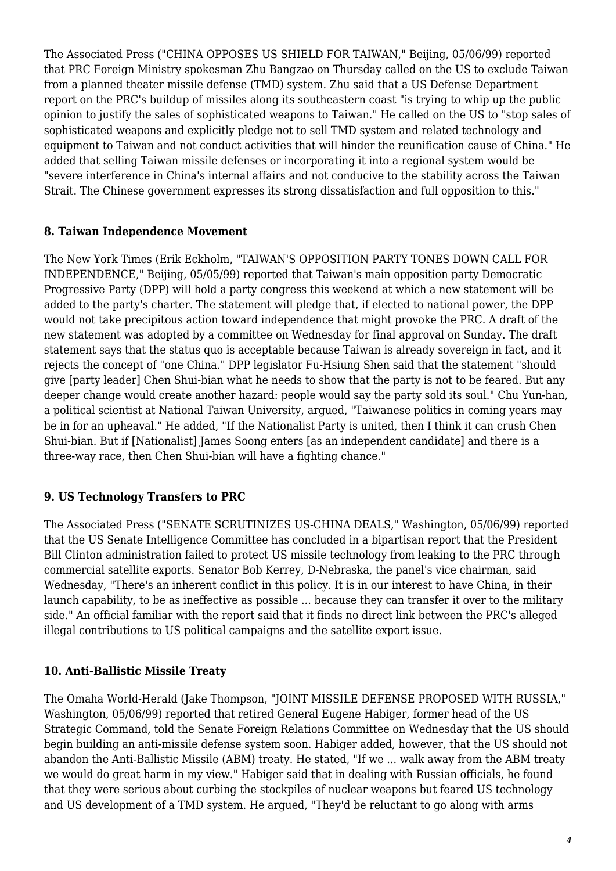The Associated Press ("CHINA OPPOSES US SHIELD FOR TAIWAN," Beijing, 05/06/99) reported that PRC Foreign Ministry spokesman Zhu Bangzao on Thursday called on the US to exclude Taiwan from a planned theater missile defense (TMD) system. Zhu said that a US Defense Department report on the PRC's buildup of missiles along its southeastern coast "is trying to whip up the public opinion to justify the sales of sophisticated weapons to Taiwan." He called on the US to "stop sales of sophisticated weapons and explicitly pledge not to sell TMD system and related technology and equipment to Taiwan and not conduct activities that will hinder the reunification cause of China." He added that selling Taiwan missile defenses or incorporating it into a regional system would be "severe interference in China's internal affairs and not conducive to the stability across the Taiwan Strait. The Chinese government expresses its strong dissatisfaction and full opposition to this."

# <span id="page-3-0"></span>**8. Taiwan Independence Movement**

The New York Times (Erik Eckholm, "TAIWAN'S OPPOSITION PARTY TONES DOWN CALL FOR INDEPENDENCE," Beijing, 05/05/99) reported that Taiwan's main opposition party Democratic Progressive Party (DPP) will hold a party congress this weekend at which a new statement will be added to the party's charter. The statement will pledge that, if elected to national power, the DPP would not take precipitous action toward independence that might provoke the PRC. A draft of the new statement was adopted by a committee on Wednesday for final approval on Sunday. The draft statement says that the status quo is acceptable because Taiwan is already sovereign in fact, and it rejects the concept of "one China." DPP legislator Fu-Hsiung Shen said that the statement "should give [party leader] Chen Shui-bian what he needs to show that the party is not to be feared. But any deeper change would create another hazard: people would say the party sold its soul." Chu Yun-han, a political scientist at National Taiwan University, argued, "Taiwanese politics in coming years may be in for an upheaval." He added, "If the Nationalist Party is united, then I think it can crush Chen Shui-bian. But if [Nationalist] James Soong enters [as an independent candidate] and there is a three-way race, then Chen Shui-bian will have a fighting chance."

# <span id="page-3-1"></span>**9. US Technology Transfers to PRC**

The Associated Press ("SENATE SCRUTINIZES US-CHINA DEALS," Washington, 05/06/99) reported that the US Senate Intelligence Committee has concluded in a bipartisan report that the President Bill Clinton administration failed to protect US missile technology from leaking to the PRC through commercial satellite exports. Senator Bob Kerrey, D-Nebraska, the panel's vice chairman, said Wednesday, "There's an inherent conflict in this policy. It is in our interest to have China, in their launch capability, to be as ineffective as possible ... because they can transfer it over to the military side." An official familiar with the report said that it finds no direct link between the PRC's alleged illegal contributions to US political campaigns and the satellite export issue.

# <span id="page-3-2"></span>**10. Anti-Ballistic Missile Treaty**

The Omaha World-Herald (Jake Thompson, "JOINT MISSILE DEFENSE PROPOSED WITH RUSSIA," Washington, 05/06/99) reported that retired General Eugene Habiger, former head of the US Strategic Command, told the Senate Foreign Relations Committee on Wednesday that the US should begin building an anti-missile defense system soon. Habiger added, however, that the US should not abandon the Anti-Ballistic Missile (ABM) treaty. He stated, "If we ... walk away from the ABM treaty we would do great harm in my view." Habiger said that in dealing with Russian officials, he found that they were serious about curbing the stockpiles of nuclear weapons but feared US technology and US development of a TMD system. He argued, "They'd be reluctant to go along with arms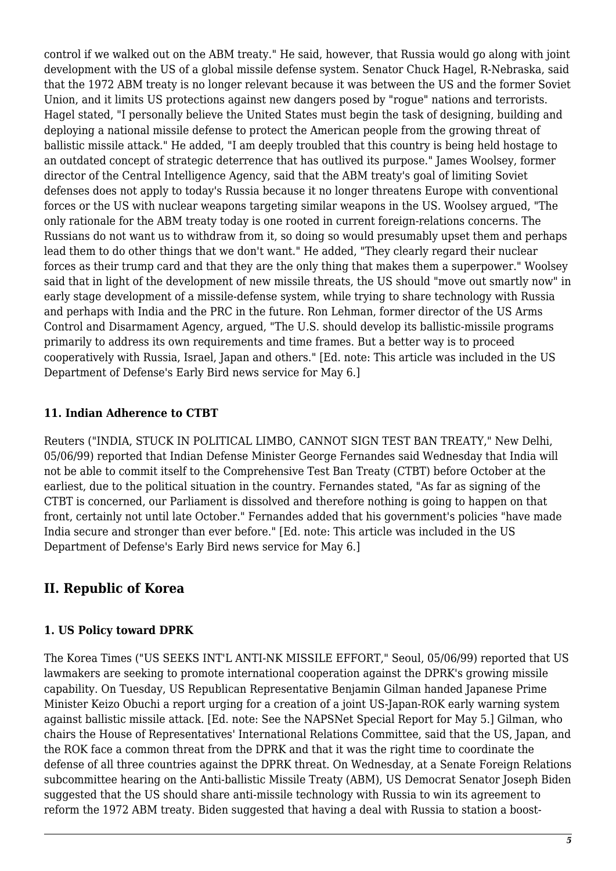control if we walked out on the ABM treaty." He said, however, that Russia would go along with joint development with the US of a global missile defense system. Senator Chuck Hagel, R-Nebraska, said that the 1972 ABM treaty is no longer relevant because it was between the US and the former Soviet Union, and it limits US protections against new dangers posed by "rogue" nations and terrorists. Hagel stated, "I personally believe the United States must begin the task of designing, building and deploying a national missile defense to protect the American people from the growing threat of ballistic missile attack." He added, "I am deeply troubled that this country is being held hostage to an outdated concept of strategic deterrence that has outlived its purpose." James Woolsey, former director of the Central Intelligence Agency, said that the ABM treaty's goal of limiting Soviet defenses does not apply to today's Russia because it no longer threatens Europe with conventional forces or the US with nuclear weapons targeting similar weapons in the US. Woolsey argued, "The only rationale for the ABM treaty today is one rooted in current foreign-relations concerns. The Russians do not want us to withdraw from it, so doing so would presumably upset them and perhaps lead them to do other things that we don't want." He added, "They clearly regard their nuclear forces as their trump card and that they are the only thing that makes them a superpower." Woolsey said that in light of the development of new missile threats, the US should "move out smartly now" in early stage development of a missile-defense system, while trying to share technology with Russia and perhaps with India and the PRC in the future. Ron Lehman, former director of the US Arms Control and Disarmament Agency, argued, "The U.S. should develop its ballistic-missile programs primarily to address its own requirements and time frames. But a better way is to proceed cooperatively with Russia, Israel, Japan and others." [Ed. note: This article was included in the US Department of Defense's Early Bird news service for May 6.]

# <span id="page-4-0"></span>**11. Indian Adherence to CTBT**

Reuters ("INDIA, STUCK IN POLITICAL LIMBO, CANNOT SIGN TEST BAN TREATY," New Delhi, 05/06/99) reported that Indian Defense Minister George Fernandes said Wednesday that India will not be able to commit itself to the Comprehensive Test Ban Treaty (CTBT) before October at the earliest, due to the political situation in the country. Fernandes stated, "As far as signing of the CTBT is concerned, our Parliament is dissolved and therefore nothing is going to happen on that front, certainly not until late October." Fernandes added that his government's policies "have made India secure and stronger than ever before." [Ed. note: This article was included in the US Department of Defense's Early Bird news service for May 6.]

# <span id="page-4-1"></span>**II. Republic of Korea**

# <span id="page-4-2"></span>**1. US Policy toward DPRK**

The Korea Times ("US SEEKS INT'L ANTI-NK MISSILE EFFORT," Seoul, 05/06/99) reported that US lawmakers are seeking to promote international cooperation against the DPRK's growing missile capability. On Tuesday, US Republican Representative Benjamin Gilman handed Japanese Prime Minister Keizo Obuchi a report urging for a creation of a joint US-Japan-ROK early warning system against ballistic missile attack. [Ed. note: See the NAPSNet Special Report for May 5.] Gilman, who chairs the House of Representatives' International Relations Committee, said that the US, Japan, and the ROK face a common threat from the DPRK and that it was the right time to coordinate the defense of all three countries against the DPRK threat. On Wednesday, at a Senate Foreign Relations subcommittee hearing on the Anti-ballistic Missile Treaty (ABM), US Democrat Senator Joseph Biden suggested that the US should share anti-missile technology with Russia to win its agreement to reform the 1972 ABM treaty. Biden suggested that having a deal with Russia to station a boost-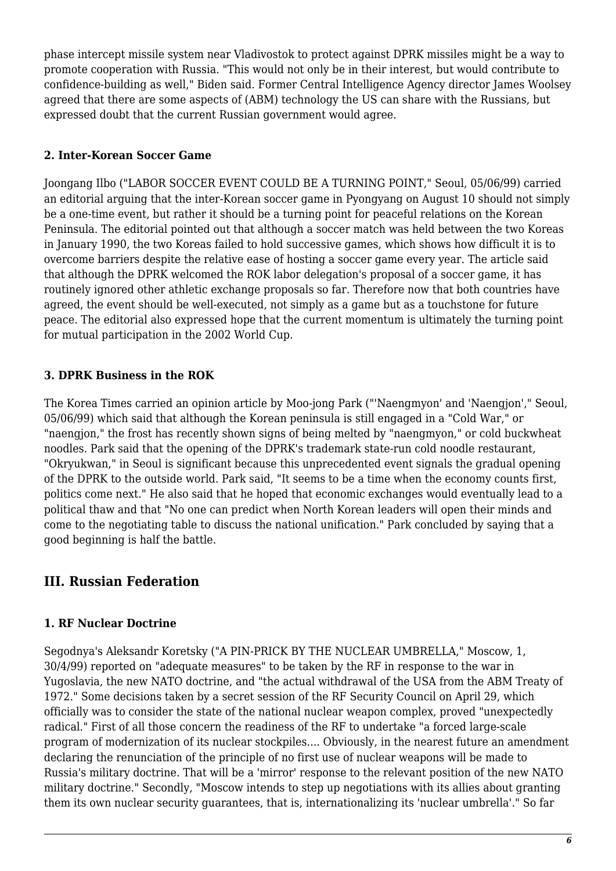phase intercept missile system near Vladivostok to protect against DPRK missiles might be a way to promote cooperation with Russia. "This would not only be in their interest, but would contribute to confidence-building as well," Biden said. Former Central Intelligence Agency director James Woolsey agreed that there are some aspects of (ABM) technology the US can share with the Russians, but expressed doubt that the current Russian government would agree.

# <span id="page-5-0"></span>**2. Inter-Korean Soccer Game**

Joongang Ilbo ("LABOR SOCCER EVENT COULD BE A TURNING POINT," Seoul, 05/06/99) carried an editorial arguing that the inter-Korean soccer game in Pyongyang on August 10 should not simply be a one-time event, but rather it should be a turning point for peaceful relations on the Korean Peninsula. The editorial pointed out that although a soccer match was held between the two Koreas in January 1990, the two Koreas failed to hold successive games, which shows how difficult it is to overcome barriers despite the relative ease of hosting a soccer game every year. The article said that although the DPRK welcomed the ROK labor delegation's proposal of a soccer game, it has routinely ignored other athletic exchange proposals so far. Therefore now that both countries have agreed, the event should be well-executed, not simply as a game but as a touchstone for future peace. The editorial also expressed hope that the current momentum is ultimately the turning point for mutual participation in the 2002 World Cup.

# <span id="page-5-1"></span>**3. DPRK Business in the ROK**

The Korea Times carried an opinion article by Moo-jong Park ("'Naengmyon' and 'Naengjon'," Seoul, 05/06/99) which said that although the Korean peninsula is still engaged in a "Cold War," or "naengjon," the frost has recently shown signs of being melted by "naengmyon," or cold buckwheat noodles. Park said that the opening of the DPRK's trademark state-run cold noodle restaurant, "Okryukwan," in Seoul is significant because this unprecedented event signals the gradual opening of the DPRK to the outside world. Park said, "It seems to be a time when the economy counts first, politics come next." He also said that he hoped that economic exchanges would eventually lead to a political thaw and that "No one can predict when North Korean leaders will open their minds and come to the negotiating table to discuss the national unification." Park concluded by saying that a good beginning is half the battle.

# <span id="page-5-2"></span>**III. Russian Federation**

# <span id="page-5-3"></span>**1. RF Nuclear Doctrine**

Segodnya's Aleksandr Koretsky ("A PIN-PRICK BY THE NUCLEAR UMBRELLA," Moscow, 1, 30/4/99) reported on "adequate measures" to be taken by the RF in response to the war in Yugoslavia, the new NATO doctrine, and "the actual withdrawal of the USA from the ABM Treaty of 1972." Some decisions taken by a secret session of the RF Security Council on April 29, which officially was to consider the state of the national nuclear weapon complex, proved "unexpectedly radical." First of all those concern the readiness of the RF to undertake "a forced large-scale program of modernization of its nuclear stockpiles.... Obviously, in the nearest future an amendment declaring the renunciation of the principle of no first use of nuclear weapons will be made to Russia's military doctrine. That will be a 'mirror' response to the relevant position of the new NATO military doctrine." Secondly, "Moscow intends to step up negotiations with its allies about granting them its own nuclear security guarantees, that is, internationalizing its 'nuclear umbrella'." So far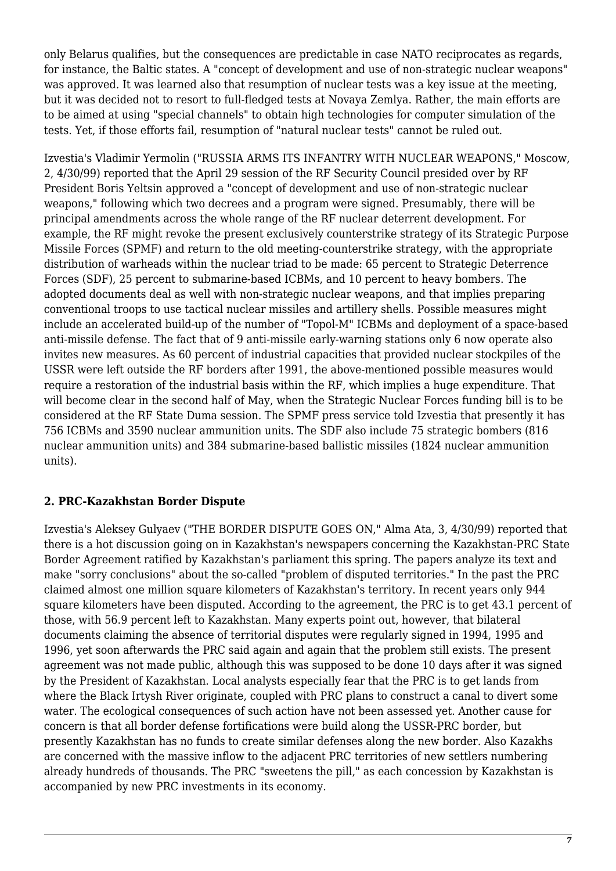only Belarus qualifies, but the consequences are predictable in case NATO reciprocates as regards, for instance, the Baltic states. A "concept of development and use of non-strategic nuclear weapons" was approved. It was learned also that resumption of nuclear tests was a key issue at the meeting, but it was decided not to resort to full-fledged tests at Novaya Zemlya. Rather, the main efforts are to be aimed at using "special channels" to obtain high technologies for computer simulation of the tests. Yet, if those efforts fail, resumption of "natural nuclear tests" cannot be ruled out.

Izvestia's Vladimir Yermolin ("RUSSIA ARMS ITS INFANTRY WITH NUCLEAR WEAPONS," Moscow, 2, 4/30/99) reported that the April 29 session of the RF Security Council presided over by RF President Boris Yeltsin approved a "concept of development and use of non-strategic nuclear weapons," following which two decrees and a program were signed. Presumably, there will be principal amendments across the whole range of the RF nuclear deterrent development. For example, the RF might revoke the present exclusively counterstrike strategy of its Strategic Purpose Missile Forces (SPMF) and return to the old meeting-counterstrike strategy, with the appropriate distribution of warheads within the nuclear triad to be made: 65 percent to Strategic Deterrence Forces (SDF), 25 percent to submarine-based ICBMs, and 10 percent to heavy bombers. The adopted documents deal as well with non-strategic nuclear weapons, and that implies preparing conventional troops to use tactical nuclear missiles and artillery shells. Possible measures might include an accelerated build-up of the number of "Topol-M" ICBMs and deployment of a space-based anti-missile defense. The fact that of 9 anti-missile early-warning stations only 6 now operate also invites new measures. As 60 percent of industrial capacities that provided nuclear stockpiles of the USSR were left outside the RF borders after 1991, the above-mentioned possible measures would require a restoration of the industrial basis within the RF, which implies a huge expenditure. That will become clear in the second half of May, when the Strategic Nuclear Forces funding bill is to be considered at the RF State Duma session. The SPMF press service told Izvestia that presently it has 756 ICBMs and 3590 nuclear ammunition units. The SDF also include 75 strategic bombers (816 nuclear ammunition units) and 384 submarine-based ballistic missiles (1824 nuclear ammunition units).

# <span id="page-6-0"></span>**2. PRC-Kazakhstan Border Dispute**

<span id="page-6-1"></span>Izvestia's Aleksey Gulyaev ("THE BORDER DISPUTE GOES ON," Alma Ata, 3, 4/30/99) reported that there is a hot discussion going on in Kazakhstan's newspapers concerning the Kazakhstan-PRC State Border Agreement ratified by Kazakhstan's parliament this spring. The papers analyze its text and make "sorry conclusions" about the so-called "problem of disputed territories." In the past the PRC claimed almost one million square kilometers of Kazakhstan's territory. In recent years only 944 square kilometers have been disputed. According to the agreement, the PRC is to get 43.1 percent of those, with 56.9 percent left to Kazakhstan. Many experts point out, however, that bilateral documents claiming the absence of territorial disputes were regularly signed in 1994, 1995 and 1996, yet soon afterwards the PRC said again and again that the problem still exists. The present agreement was not made public, although this was supposed to be done 10 days after it was signed by the President of Kazakhstan. Local analysts especially fear that the PRC is to get lands from where the Black Irtysh River originate, coupled with PRC plans to construct a canal to divert some water. The ecological consequences of such action have not been assessed yet. Another cause for concern is that all border defense fortifications were build along the USSR-PRC border, but presently Kazakhstan has no funds to create similar defenses along the new border. Also Kazakhs are concerned with the massive inflow to the adjacent PRC territories of new settlers numbering already hundreds of thousands. The PRC "sweetens the pill," as each concession by Kazakhstan is accompanied by new PRC investments in its economy.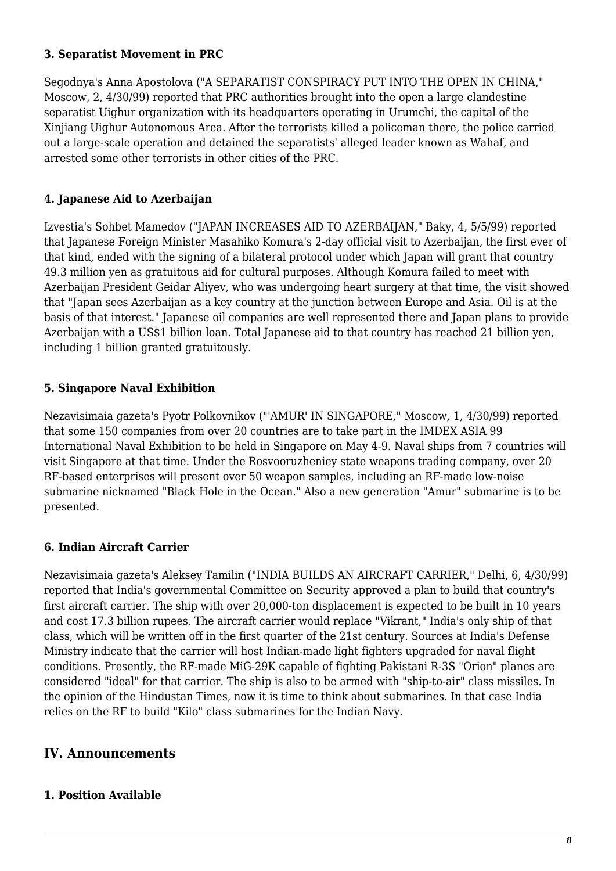#### **3. Separatist Movement in PRC**

Segodnya's Anna Apostolova ("A SEPARATIST CONSPIRACY PUT INTO THE OPEN IN CHINA," Moscow, 2, 4/30/99) reported that PRC authorities brought into the open a large clandestine separatist Uighur organization with its headquarters operating in Urumchi, the capital of the Xinjiang Uighur Autonomous Area. After the terrorists killed a policeman there, the police carried out a large-scale operation and detained the separatists' alleged leader known as Wahaf, and arrested some other terrorists in other cities of the PRC.

# <span id="page-7-0"></span>**4. Japanese Aid to Azerbaijan**

Izvestia's Sohbet Mamedov ("JAPAN INCREASES AID TO AZERBAIJAN," Baky, 4, 5/5/99) reported that Japanese Foreign Minister Masahiko Komura's 2-day official visit to Azerbaijan, the first ever of that kind, ended with the signing of a bilateral protocol under which Japan will grant that country 49.3 million yen as gratuitous aid for cultural purposes. Although Komura failed to meet with Azerbaijan President Geidar Aliyev, who was undergoing heart surgery at that time, the visit showed that "Japan sees Azerbaijan as a key country at the junction between Europe and Asia. Oil is at the basis of that interest." Japanese oil companies are well represented there and Japan plans to provide Azerbaijan with a US\$1 billion loan. Total Japanese aid to that country has reached 21 billion yen, including 1 billion granted gratuitously.

# <span id="page-7-1"></span>**5. Singapore Naval Exhibition**

Nezavisimaia gazeta's Pyotr Polkovnikov ("'AMUR' IN SINGAPORE," Moscow, 1, 4/30/99) reported that some 150 companies from over 20 countries are to take part in the IMDEX ASIA 99 International Naval Exhibition to be held in Singapore on May 4-9. Naval ships from 7 countries will visit Singapore at that time. Under the Rosvooruzheniey state weapons trading company, over 20 RF-based enterprises will present over 50 weapon samples, including an RF-made low-noise submarine nicknamed "Black Hole in the Ocean." Also a new generation "Amur" submarine is to be presented.

# <span id="page-7-2"></span>**6. Indian Aircraft Carrier**

Nezavisimaia gazeta's Aleksey Tamilin ("INDIA BUILDS AN AIRCRAFT CARRIER," Delhi, 6, 4/30/99) reported that India's governmental Committee on Security approved a plan to build that country's first aircraft carrier. The ship with over 20,000-ton displacement is expected to be built in 10 years and cost 17.3 billion rupees. The aircraft carrier would replace "Vikrant," India's only ship of that class, which will be written off in the first quarter of the 21st century. Sources at India's Defense Ministry indicate that the carrier will host Indian-made light fighters upgraded for naval flight conditions. Presently, the RF-made MiG-29K capable of fighting Pakistani R-3S "Orion" planes are considered "ideal" for that carrier. The ship is also to be armed with "ship-to-air" class missiles. In the opinion of the Hindustan Times, now it is time to think about submarines. In that case India relies on the RF to build "Kilo" class submarines for the Indian Navy.

# <span id="page-7-3"></span>**IV. Announcements**

# <span id="page-7-4"></span>**1. Position Available**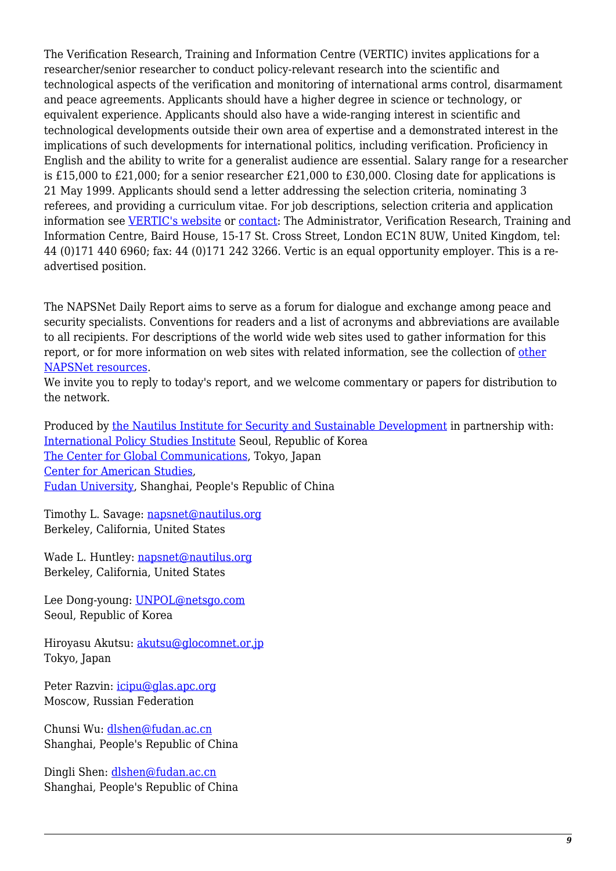The Verification Research, Training and Information Centre (VERTIC) invites applications for a researcher/senior researcher to conduct policy-relevant research into the scientific and technological aspects of the verification and monitoring of international arms control, disarmament and peace agreements. Applicants should have a higher degree in science or technology, or equivalent experience. Applicants should also have a wide-ranging interest in scientific and technological developments outside their own area of expertise and a demonstrated interest in the implications of such developments for international politics, including verification. Proficiency in English and the ability to write for a generalist audience are essential. Salary range for a researcher is £15,000 to £21,000; for a senior researcher £21,000 to £30,000. Closing date for applications is 21 May 1999. Applicants should send a letter addressing the selection criteria, nominating 3 referees, and providing a curriculum vitae. For job descriptions, selection criteria and application information see [VERTIC's website](http://www.fhit.org/vertic) or [contact](mailto:info@vertic.org): The Administrator, Verification Research, Training and Information Centre, Baird House, 15-17 St. Cross Street, London EC1N 8UW, United Kingdom, tel: 44 (0)171 440 6960; fax: 44 (0)171 242 3266. Vertic is an equal opportunity employer. This is a readvertised position.

The NAPSNet Daily Report aims to serve as a forum for dialogue and exchange among peace and security specialists. Conventions for readers and a list of acronyms and abbreviations are available to all recipients. For descriptions of the world wide web sites used to gather information for this report, or for more information on web sites with related information, see the collection of [other](http://www.nautilus.org/napsnet/resources.html) [NAPSNet resources.](http://www.nautilus.org/napsnet/resources.html)

We invite you to reply to today's report, and we welcome commentary or papers for distribution to the network.

Produced by [the Nautilus Institute for Security and Sustainable Development](http://www.nautilus.org/morenaut.html) in partnership with: [International Policy Studies Institute](http://www.IPSI.org/) Seoul, Republic of Korea [The Center for Global Communications](http://aska.glocom.ac.jp/default.html), Tokyo, Japan [Center for American Studies](http://www.fudan.sh.cn/english/lab/ame_res/ame_res.htm), [Fudan University](http://www.fudan.sh.cn/index.html), Shanghai, People's Republic of China

Timothy L. Savage: [napsnet@nautilus.org](mailto:napsnet@nautilus.org) Berkeley, California, United States

Wade L. Huntley: [napsnet@nautilus.org](mailto:napsnet@nautilus.org) Berkeley, California, United States

Lee Dong-young: [UNPOL@netsgo.com](mailto:UNPOL@netsgo.com) Seoul, Republic of Korea

Hiroyasu Akutsu: [akutsu@glocomnet.or.jp](mailto:akutsu@glocomnet.or.jp) Tokyo, Japan

Peter Razvin: [icipu@glas.apc.org](mailto:icipu@glas.apc.org) Moscow, Russian Federation

Chunsi Wu: [dlshen@fudan.ac.cn](mailto:dlshen@fudan.ac.cn (Chunsi Wu)) Shanghai, People's Republic of China

Dingli Shen: [dlshen@fudan.ac.cn](mailto:dlshen@fudan.ac.cn (Dingli Shen)) Shanghai, People's Republic of China